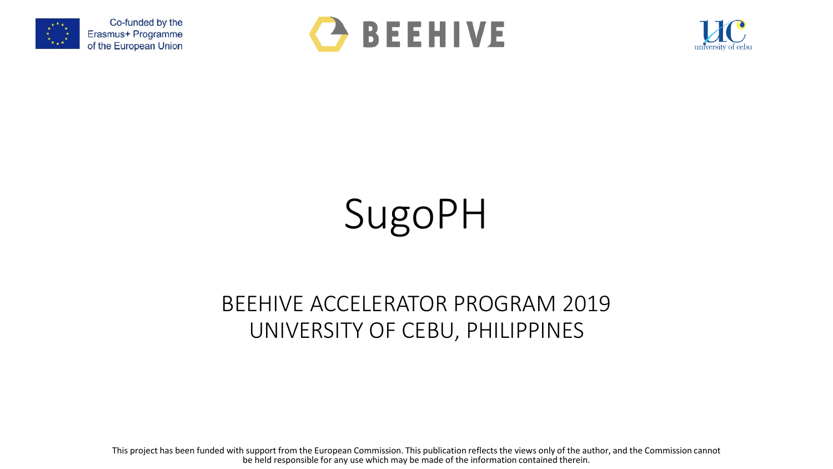





# SugoPH

### BEEHIVE ACCELERATOR PROGRAM 2019 UNIVERSITY OF CEBU, PHILIPPINES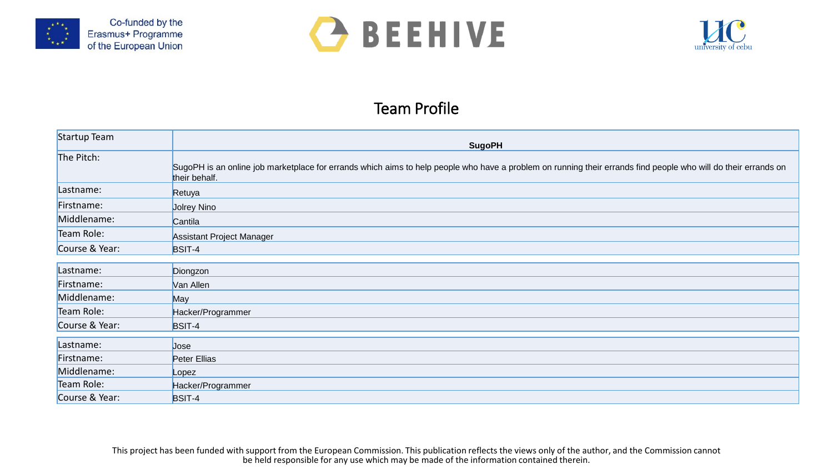





#### Team Profile

| Startup Team   | <b>SugoPH</b>                                                                                                                                                                   |
|----------------|---------------------------------------------------------------------------------------------------------------------------------------------------------------------------------|
| The Pitch:     | SugoPH is an online job marketplace for errands which aims to help people who have a problem on running their errands find people who will do their errands on<br>their behalf. |
| Lastname:      | Retuya                                                                                                                                                                          |
| Firstname:     | <b>Jolrey Nino</b>                                                                                                                                                              |
| Middlename:    | Cantila                                                                                                                                                                         |
| Team Role:     | <b>Assistant Project Manager</b>                                                                                                                                                |
| Course & Year: | BSIT-4                                                                                                                                                                          |
| Lastname:      | Diongzon                                                                                                                                                                        |
| Firstname:     | Van Allen                                                                                                                                                                       |
| Middlename:    | May                                                                                                                                                                             |
| Team Role:     | Hacker/Programmer                                                                                                                                                               |
| Course & Year: | BSIT-4                                                                                                                                                                          |
| Lastname:      | Jose                                                                                                                                                                            |
| Firstname:     | Peter Ellias                                                                                                                                                                    |
| Middlename:    | Lopez                                                                                                                                                                           |
| Team Role:     | Hacker/Programmer                                                                                                                                                               |
| Course & Year: | BSIT-4                                                                                                                                                                          |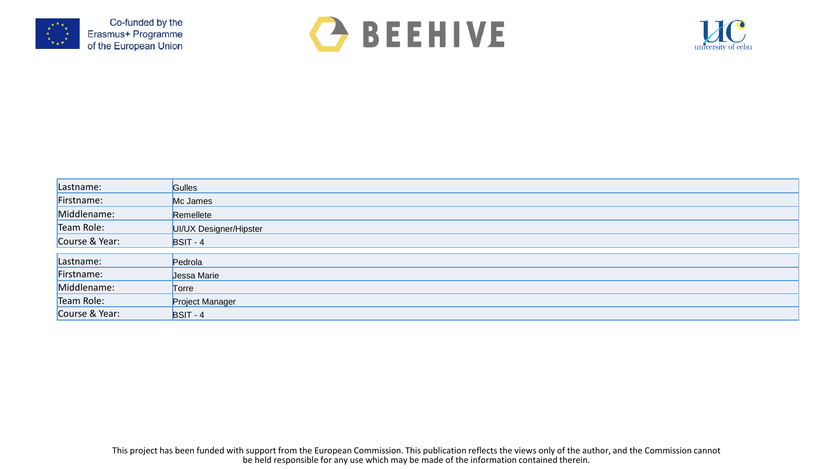





| Lastname:      | <b>Gulles</b>          |
|----------------|------------------------|
| Firstname:     | Mc James               |
| Middlename:    | Remellete              |
| Team Role:     | UI/UX Designer/Hipster |
| Course & Year: | $BSIT - 4$             |
|                |                        |
| Lastname:      | Pedrola                |
| Firstname:     | Jessa Marie            |
| Middlename:    | Torre                  |
| Team Role:     | Project Manager        |
| Course & Year: | $BSIT - 4$             |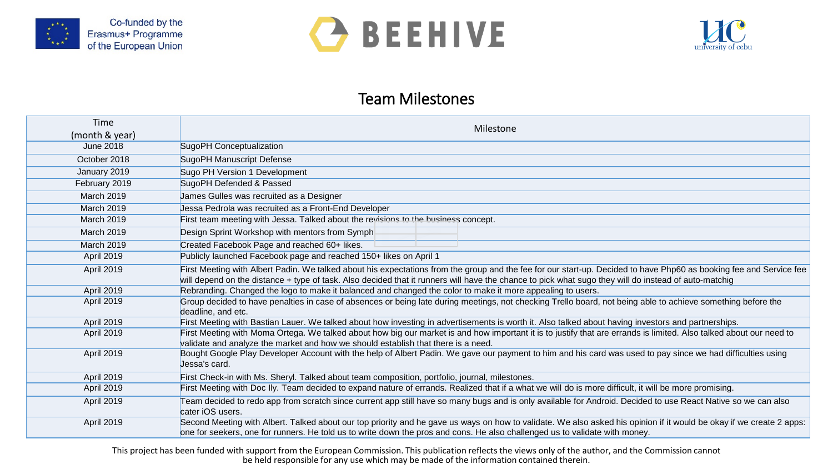





#### Team Milestones

| Time<br>(month & year) | Milestone                                                                                                                                                                                                                                                                                                                   |
|------------------------|-----------------------------------------------------------------------------------------------------------------------------------------------------------------------------------------------------------------------------------------------------------------------------------------------------------------------------|
| June 2018              | SugoPH Conceptualization                                                                                                                                                                                                                                                                                                    |
| October 2018           | SugoPH Manuscript Defense                                                                                                                                                                                                                                                                                                   |
| January 2019           | Sugo PH Version 1 Development                                                                                                                                                                                                                                                                                               |
| February 2019          | SugoPH Defended & Passed                                                                                                                                                                                                                                                                                                    |
| March 2019             | James Gulles was recruited as a Designer                                                                                                                                                                                                                                                                                    |
| March 2019             | Jessa Pedrola was recruited as a Front-End Developer                                                                                                                                                                                                                                                                        |
| March 2019             | First team meeting with Jessa. Talked about the revisions to the business concept.                                                                                                                                                                                                                                          |
| March 2019             | Design Sprint Workshop with mentors from Symph                                                                                                                                                                                                                                                                              |
| March 2019             | Created Facebook Page and reached 60+ likes.                                                                                                                                                                                                                                                                                |
| April 2019             | Publicly launched Facebook page and reached 150+ likes on April 1                                                                                                                                                                                                                                                           |
| April 2019             | First Meeting with Albert Padin. We talked about his expectations from the group and the fee for our start-up. Decided to have Php60 as booking fee and Service fee<br>will depend on the distance + type of task. Also decided that it runners will have the chance to pick what sugo they will do instead of auto-matchig |
| April 2019             | Rebranding. Changed the logo to make it balanced and changed the color to make it more appealing to users.                                                                                                                                                                                                                  |
| April 2019             | Group decided to have penalties in case of absences or being late during meetings, not checking Trello board, not being able to achieve something before the<br>deadline, and etc.                                                                                                                                          |
| April 2019             | First Meeting with Bastian Lauer. We talked about how investing in advertisements is worth it. Also talked about having investors and partnerships.                                                                                                                                                                         |
| April 2019             | First Meeting with Moma Ortega. We talked about how big our market is and how important it is to justify that are errands is limited. Also talked about our need to<br>validate and analyze the market and how we should establish that there is a need.                                                                    |
| April 2019             | Bought Google Play Developer Account with the help of Albert Padin. We gave our payment to him and his card was used to pay since we had difficulties using<br>Jessa's card.                                                                                                                                                |
| April 2019             | First Check-in with Ms. Sheryl. Talked about team composition, portfolio, journal, milestones.                                                                                                                                                                                                                              |
| April 2019             | First Meeting with Doc Ily. Team decided to expand nature of errands. Realized that if a what we will do is more difficult, it will be more promising.                                                                                                                                                                      |
| April 2019             | Team decided to redo app from scratch since current app still have so many bugs and is only available for Android. Decided to use React Native so we can also<br>cater iOS users.                                                                                                                                           |
| April 2019             | Second Meeting with Albert. Talked about our top priority and he gave us ways on how to validate. We also asked his opinion if it would be okay if we create 2 apps:<br>one for seekers, one for runners. He told us to write down the pros and cons. He also challenged us to validate with money.                         |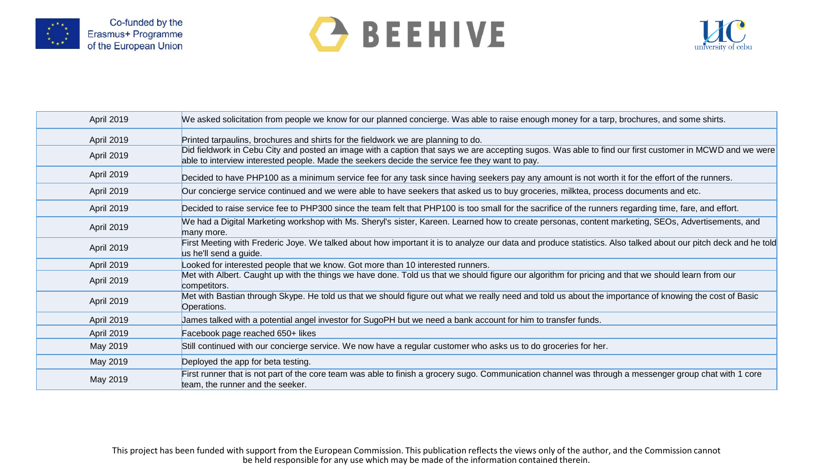

## **C** BEEHIVE



| April 2019 | We asked solicitation from people we know for our planned concierge. Was able to raise enough money for a tarp, brochures, and some shirts.                                                                                                               |
|------------|-----------------------------------------------------------------------------------------------------------------------------------------------------------------------------------------------------------------------------------------------------------|
| April 2019 | Printed tarpaulins, brochures and shirts for the fieldwork we are planning to do.                                                                                                                                                                         |
| April 2019 | Did fieldwork in Cebu City and posted an image with a caption that says we are accepting sugos. Was able to find our first customer in MCWD and we were<br>able to interview interested people. Made the seekers decide the service fee they want to pay. |
| April 2019 | Decided to have PHP100 as a minimum service fee for any task since having seekers pay any amount is not worth it for the effort of the runners.                                                                                                           |
| April 2019 | Our concierge service continued and we were able to have seekers that asked us to buy groceries, milktea, process documents and etc.                                                                                                                      |
| April 2019 | Decided to raise service fee to PHP300 since the team felt that PHP100 is too small for the sacrifice of the runners regarding time, fare, and effort.                                                                                                    |
| April 2019 | We had a Digital Marketing workshop with Ms. Sheryl's sister, Kareen. Learned how to create personas, content marketing, SEOs, Advertisements, and<br>many more.                                                                                          |
| April 2019 | First Meeting with Frederic Joye. We talked about how important it is to analyze our data and produce statistics. Also talked about our pitch deck and he told<br>us he'll send a guide.                                                                  |
| April 2019 | Looked for interested people that we know. Got more than 10 interested runners.                                                                                                                                                                           |
| April 2019 | Met with Albert. Caught up with the things we have done. Told us that we should figure our algorithm for pricing and that we should learn from our<br>competitors.                                                                                        |
| April 2019 | Met with Bastian through Skype. He told us that we should figure out what we really need and told us about the importance of knowing the cost of Basic<br>Operations.                                                                                     |
| April 2019 | James talked with a potential angel investor for SugoPH but we need a bank account for him to transfer funds.                                                                                                                                             |
| April 2019 | Facebook page reached 650+ likes                                                                                                                                                                                                                          |
| May 2019   | Still continued with our concierge service. We now have a regular customer who asks us to do groceries for her.                                                                                                                                           |
| May 2019   | Deployed the app for beta testing.                                                                                                                                                                                                                        |
| May 2019   | First runner that is not part of the core team was able to finish a grocery sugo. Communication channel was through a messenger group chat with 1 core<br>team, the runner and the seeker.                                                                |